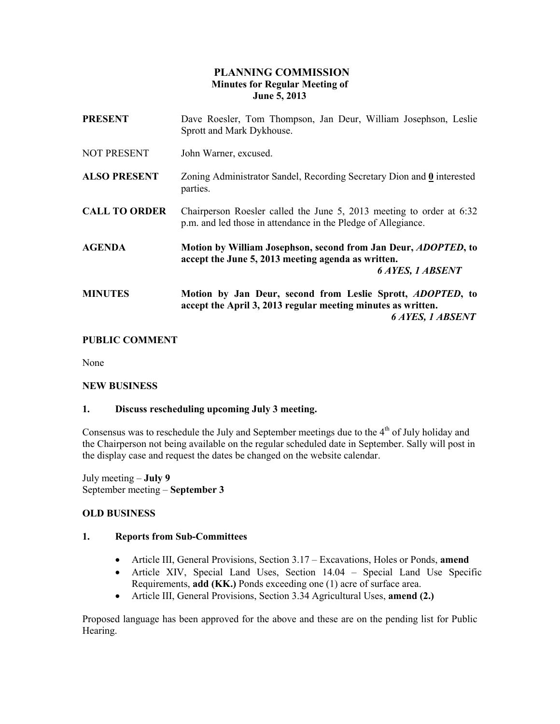# PLANNING COMMISSION Minutes for Regular Meeting of June 5, 2013

| <b>PRESENT</b>       | Dave Roesler, Tom Thompson, Jan Deur, William Josephson, Leslie<br>Sprott and Mark Dykhouse.                                                            |
|----------------------|---------------------------------------------------------------------------------------------------------------------------------------------------------|
| NOT PRESENT          | John Warner, excused.                                                                                                                                   |
| <b>ALSO PRESENT</b>  | Zoning Administrator Sandel, Recording Secretary Dion and 0 interested<br>parties.                                                                      |
| <b>CALL TO ORDER</b> | Chairperson Roesler called the June 5, 2013 meeting to order at 6:32<br>p.m. and led those in attendance in the Pledge of Allegiance.                   |
| <b>AGENDA</b>        | Motion by William Josephson, second from Jan Deur, <i>ADOPTED</i> , to<br>accept the June 5, 2013 meeting agenda as written.<br><b>6 AYES, 1 ABSENT</b> |
| <b>MINUTES</b>       | Motion by Jan Deur, second from Leslie Sprott, ADOPTED, to<br>accept the April 3, 2013 regular meeting minutes as written.<br>6 AYES, 1 ABSENT          |

### PUBLIC COMMENT

None

#### NEW BUSINESS

#### 1. Discuss rescheduling upcoming July 3 meeting.

Consensus was to reschedule the July and September meetings due to the  $4<sup>th</sup>$  of July holiday and the Chairperson not being available on the regular scheduled date in September. Sally will post in the display case and request the dates be changed on the website calendar.

July meeting – July 9 September meeting – September 3

#### OLD BUSINESS

#### 1. Reports from Sub-Committees

- Article III, General Provisions, Section 3.17 Excavations, Holes or Ponds, amend
- Article XIV, Special Land Uses, Section 14.04 Special Land Use Specific Requirements, add (KK.) Ponds exceeding one (1) acre of surface area.
- Article III, General Provisions, Section 3.34 Agricultural Uses, amend (2.)

Proposed language has been approved for the above and these are on the pending list for Public Hearing.